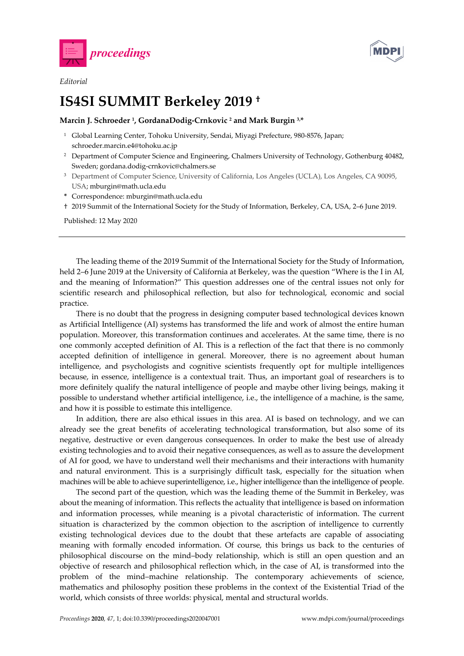



*Editorial* 

## **IS4SI SUMMIT Berkeley 2019 †**

## **Marcin J. Schroeder 1, GordanaDodig-Crnkovic 2 and Mark Burgin 3,\***

- <sup>1</sup> Global Learning Center, Tohoku University, Sendai, Miyagi Prefecture, 980-8576, Japan; schroeder.marcin.e4@tohoku.ac.jp
- <sup>2</sup> Department of Computer Science and Engineering, Chalmers University of Technology, Gothenburg 40482, Sweden; gordana.dodig-crnkovic@chalmers.se
- <sup>3</sup> Department of Computer Science, University of California, Los Angeles (UCLA), Los Angeles, CA 90095, USA; mburgin@math.ucla.edu
- **\*** Correspondence: mburgin@math.ucla.edu
- † 2019 Summit of the International Society for the Study of Information, Berkeley, CA, USA, 2–6 June 2019.

Published: 12 May 2020

The leading theme of the 2019 Summit of the International Society for the Study of Information, held 2–6 June 2019 at the University of California at Berkeley, was the question "Where is the I in AI, and the meaning of Information?" This question addresses one of the central issues not only for scientific research and philosophical reflection, but also for technological, economic and social practice.

There is no doubt that the progress in designing computer based technological devices known as Artificial Intelligence (AI) systems has transformed the life and work of almost the entire human population. Moreover, this transformation continues and accelerates. At the same time, there is no one commonly accepted definition of AI. This is a reflection of the fact that there is no commonly accepted definition of intelligence in general. Moreover, there is no agreement about human intelligence, and psychologists and cognitive scientists frequently opt for multiple intelligences because, in essence, intelligence is a contextual trait. Thus, an important goal of researchers is to more definitely qualify the natural intelligence of people and maybe other living beings, making it possible to understand whether artificial intelligence, i.e., the intelligence of a machine, is the same, and how it is possible to estimate this intelligence.

In addition, there are also ethical issues in this area. AI is based on technology, and we can already see the great benefits of accelerating technological transformation, but also some of its negative, destructive or even dangerous consequences. In order to make the best use of already existing technologies and to avoid their negative consequences, as well as to assure the development of AI for good, we have to understand well their mechanisms and their interactions with humanity and natural environment. This is a surprisingly difficult task, especially for the situation when machines will be able to achieve superintelligence, i.e., higher intelligence than the intelligence of people.

The second part of the question, which was the leading theme of the Summit in Berkeley, was about the meaning of information. This reflects the actuality that intelligence is based on information and information processes, while meaning is a pivotal characteristic of information. The current situation is characterized by the common objection to the ascription of intelligence to currently existing technological devices due to the doubt that these artefacts are capable of associating meaning with formally encoded information. Of course, this brings us back to the centuries of philosophical discourse on the mind–body relationship, which is still an open question and an objective of research and philosophical reflection which, in the case of AI, is transformed into the problem of the mind–machine relationship. The contemporary achievements of science, mathematics and philosophy position these problems in the context of the Existential Triad of the world, which consists of three worlds: physical, mental and structural worlds.